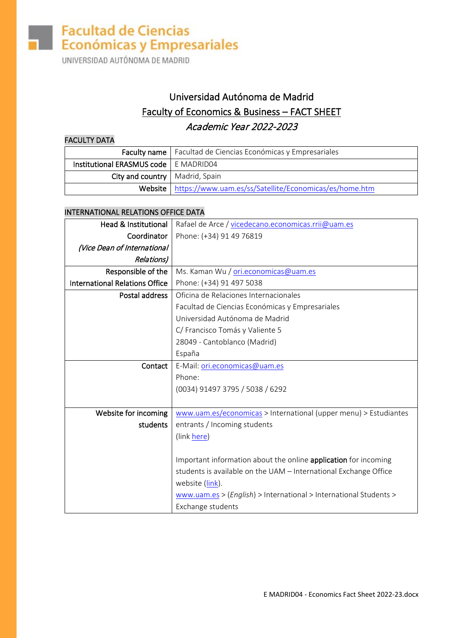UNIVERSIDAD AUTÓNOMA DE MADRID

### Universidad Autónoma de Madrid Faculty of Economics & Business – FACT SHEET Academic Year 2022-2023

#### FACULTY DATA

|                                         | <b>Faculty name</b>   Facultad de Ciencias Económicas y Empresariales |
|-----------------------------------------|-----------------------------------------------------------------------|
| Institutional ERASMUS code   E MADRID04 |                                                                       |
| City and country   Madrid, Spain        |                                                                       |
|                                         | Website   https://www.uam.es/ss/Satellite/Economicas/es/home.htm      |

#### INTERNATIONAL RELATIONS OFFICE DATA

| Rafael de Arce / vicedecano.economicas.rrii@uam.es                |  |  |
|-------------------------------------------------------------------|--|--|
| Phone: (+34) 91 49 76819                                          |  |  |
|                                                                   |  |  |
|                                                                   |  |  |
| Ms. Kaman Wu / ori.economicas@uam.es                              |  |  |
| Phone: (+34) 91 497 5038                                          |  |  |
| Oficina de Relaciones Internacionales                             |  |  |
| Facultad de Ciencias Económicas y Empresariales                   |  |  |
| Universidad Autónoma de Madrid                                    |  |  |
| C/ Francisco Tomás y Valiente 5                                   |  |  |
| 28049 - Cantoblanco (Madrid)                                      |  |  |
| España                                                            |  |  |
| Contact<br>E-Mail: ori.economicas@uam.es                          |  |  |
| Phone:                                                            |  |  |
| (0034) 91497 3795 / 5038 / 6292                                   |  |  |
|                                                                   |  |  |
| www.uam.es/economicas > International (upper menu) > Estudiantes  |  |  |
| students<br>entrants / Incoming students<br>(link here)           |  |  |
|                                                                   |  |  |
| Important information about the online application for incoming   |  |  |
| students is available on the UAM - International Exchange Office  |  |  |
| website (link).                                                   |  |  |
| www.uam.es > (English) > International > International Students > |  |  |
| Exchange students                                                 |  |  |
|                                                                   |  |  |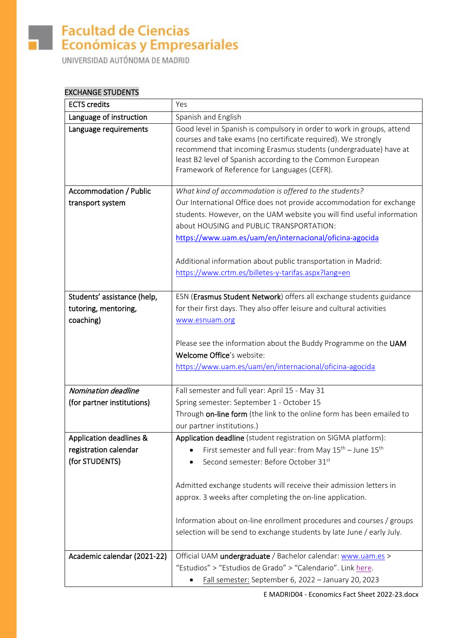# Facultad de Ciencias<br>**Exercise y Empresariales**

UNIVERSIDAD AUTÓNOMA DE MADRID

#### EXCHANGE STUDENTS

| <b>ECTS</b> credits                     | Yes                                                                                                                                                                                                                                                                                                                       |  |
|-----------------------------------------|---------------------------------------------------------------------------------------------------------------------------------------------------------------------------------------------------------------------------------------------------------------------------------------------------------------------------|--|
| Language of instruction                 | Spanish and English                                                                                                                                                                                                                                                                                                       |  |
| Language requirements                   | Good level in Spanish is compulsory in order to work in groups, attend<br>courses and take exams (no certificate required). We strongly<br>recommend that incoming Erasmus students (undergraduate) have at<br>least B2 level of Spanish according to the Common European<br>Framework of Reference for Languages (CEFR). |  |
| <b>Accommodation / Public</b>           | What kind of accommodation is offered to the students?                                                                                                                                                                                                                                                                    |  |
| transport system                        | Our International Office does not provide accommodation for exchange<br>students. However, on the UAM website you will find useful information<br>about HOUSING and PUBLIC TRANSPORTATION:<br>https://www.uam.es/uam/en/internacional/oficina-agocida                                                                     |  |
|                                         | Additional information about public transportation in Madrid:                                                                                                                                                                                                                                                             |  |
|                                         | https://www.crtm.es/billetes-y-tarifas.aspx?lang=en                                                                                                                                                                                                                                                                       |  |
|                                         |                                                                                                                                                                                                                                                                                                                           |  |
| Students' assistance (help,             | ESN (Erasmus Student Network) offers all exchange students guidance                                                                                                                                                                                                                                                       |  |
| tutoring, mentoring,                    | for their first days. They also offer leisure and cultural activities                                                                                                                                                                                                                                                     |  |
| coaching)                               | www.esnuam.org                                                                                                                                                                                                                                                                                                            |  |
|                                         | Please see the information about the Buddy Programme on the UAM<br>Welcome Office's website:<br>https://www.uam.es/uam/en/internacional/oficina-agocida                                                                                                                                                                   |  |
| Nomination deadline                     | Fall semester and full year: April 15 - May 31                                                                                                                                                                                                                                                                            |  |
| (for partner institutions)              | Spring semester: September 1 - October 15                                                                                                                                                                                                                                                                                 |  |
|                                         | Through on-line form (the link to the online form has been emailed to                                                                                                                                                                                                                                                     |  |
|                                         | our partner institutions.)                                                                                                                                                                                                                                                                                                |  |
| Application deadlines &                 | Application deadline (student registration on SIGMA platform):                                                                                                                                                                                                                                                            |  |
| registration calendar<br>(for STUDENTS) | First semester and full year: from May $15^{th}$ – June $15^{th}$<br>Second semester: Before October 31st                                                                                                                                                                                                                 |  |
|                                         |                                                                                                                                                                                                                                                                                                                           |  |
|                                         | Admitted exchange students will receive their admission letters in                                                                                                                                                                                                                                                        |  |
|                                         | approx. 3 weeks after completing the on-line application.                                                                                                                                                                                                                                                                 |  |
|                                         | Information about on-line enrollment procedures and courses / groups<br>selection will be send to exchange students by late June / early July.                                                                                                                                                                            |  |
| Academic calendar (2021-22)             | Official UAM undergraduate / Bachelor calendar: www.uam.es >                                                                                                                                                                                                                                                              |  |
|                                         | "Estudios" > "Estudios de Grado" > "Calendario". Link here.                                                                                                                                                                                                                                                               |  |
|                                         | Fall semester: September 6, 2022 - January 20, 2023                                                                                                                                                                                                                                                                       |  |

E MADRID04 - Economics Fact Sheet 2022-23.docx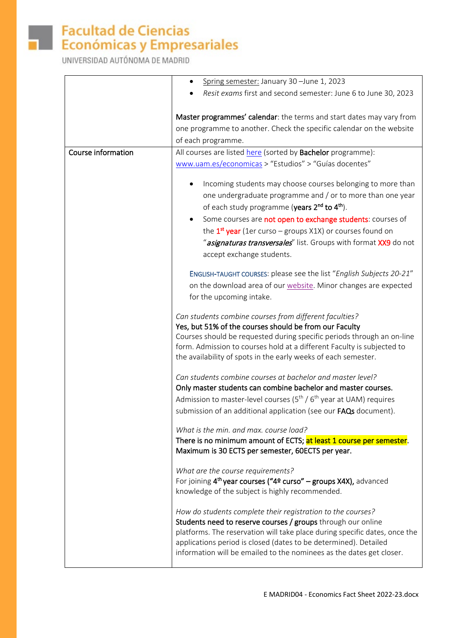

# Facultad de Ciencias<br>**Exercise y Empresariales**

UNIVERSIDAD AUTÓNOMA DE MADRID

|                    | Spring semester: January 30 - June 1, 2023<br>٠                                                                                                                                                                                                                                                                                                       |
|--------------------|-------------------------------------------------------------------------------------------------------------------------------------------------------------------------------------------------------------------------------------------------------------------------------------------------------------------------------------------------------|
|                    | Resit exams first and second semester: June 6 to June 30, 2023                                                                                                                                                                                                                                                                                        |
|                    | Master programmes' calendar: the terms and start dates may vary from<br>one programme to another. Check the specific calendar on the website<br>of each programme.                                                                                                                                                                                    |
| Course information | All courses are listed here (sorted by Bachelor programme):                                                                                                                                                                                                                                                                                           |
|                    | www.uam.es/economicas > "Estudios" > "Guías docentes"                                                                                                                                                                                                                                                                                                 |
|                    | Incoming students may choose courses belonging to more than<br>one undergraduate programme and / or to more than one year<br>of each study programme (years 2 <sup>nd</sup> to 4 <sup>th</sup> ).                                                                                                                                                     |
|                    | Some courses are not open to exchange students: courses of<br>$\bullet$                                                                                                                                                                                                                                                                               |
|                    | the $1st$ year (1er curso – groups X1X) or courses found on                                                                                                                                                                                                                                                                                           |
|                    | "asignaturas transversales" list. Groups with format XX9 do not<br>accept exchange students.                                                                                                                                                                                                                                                          |
|                    | ENGLISH-TAUGHT COURSES: please see the list "English Subjects 20-21"<br>on the download area of our website. Minor changes are expected                                                                                                                                                                                                               |
|                    | for the upcoming intake.                                                                                                                                                                                                                                                                                                                              |
|                    | Can students combine courses from different faculties?                                                                                                                                                                                                                                                                                                |
|                    | Yes, but 51% of the courses should be from our Faculty                                                                                                                                                                                                                                                                                                |
|                    | Courses should be requested during specific periods through an on-line<br>form. Admission to courses hold at a different Faculty is subjected to<br>the availability of spots in the early weeks of each semester.                                                                                                                                    |
|                    | Can students combine courses at bachelor and master level?<br>Only master students can combine bachelor and master courses.                                                                                                                                                                                                                           |
|                    | Admission to master-level courses ( $5^{th}$ / $6^{th}$ year at UAM) requires                                                                                                                                                                                                                                                                         |
|                    | submission of an additional application (see our FAQs document).                                                                                                                                                                                                                                                                                      |
|                    | What is the min. and max. course load?<br>There is no minimum amount of ECTS; at least 1 course per semester.                                                                                                                                                                                                                                         |
|                    | Maximum is 30 ECTS per semester, 60ECTS per year.                                                                                                                                                                                                                                                                                                     |
|                    | What are the course requirements?<br>For joining $4th$ year courses ("4º curso" – groups X4X), advanced<br>knowledge of the subject is highly recommended.                                                                                                                                                                                            |
|                    | How do students complete their registration to the courses?<br>Students need to reserve courses / groups through our online<br>platforms. The reservation will take place during specific dates, once the<br>applications period is closed (dates to be determined). Detailed<br>information will be emailed to the nominees as the dates get closer. |